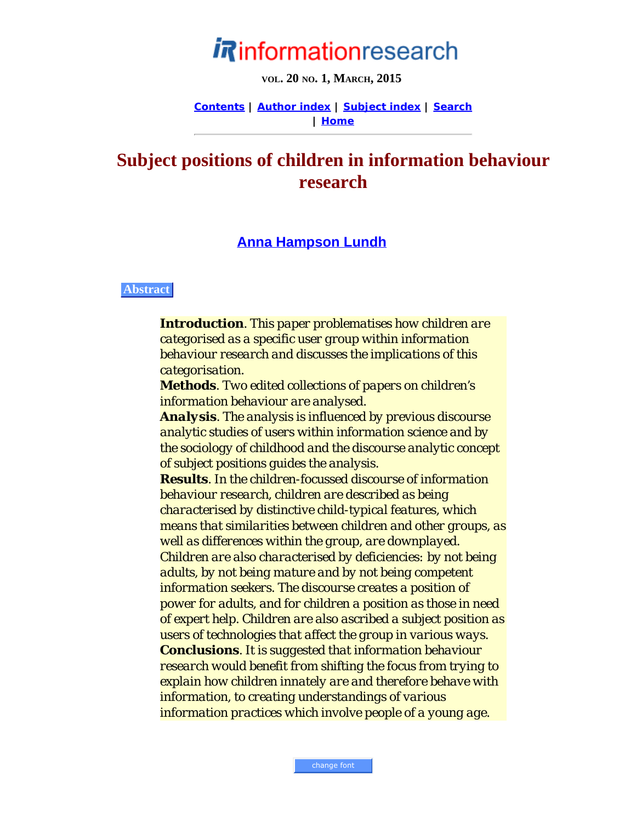# informationresearch

**VOL. 20 NO. 1, MARCH, 2015**

**[Contents](http://www.informationr.net/ir/21-3/infres213.html) | [Author index](http://www.informationr.net/ir/iraindex.html) | [Subject index](http://www.informationr.net/ir/irsindex.html) | [Search](http://www.informationr.net/ir/search.html) | [Home](http://www.informationr.net/ir/index.html)**

# **Subject positions of children in information behaviour research**

# **[Anna Hampson Lundh](#page-20-0)**

#### **Abstract**

*Introduction. This paper problematises how children are categorised as a specific user group within information behaviour research and discusses the implications of this categorisation.*

*Methods. Two edited collections of papers on children's information behaviour are analysed.*

*Analysis. The analysis is influenced by previous discourse analytic studies of users within information science and by the sociology of childhood and the discourse analytic concept of subject positions guides the analysis.*

*Results. In the children-focussed discourse of information behaviour research, children are described as being characterised by distinctive child-typical features, which means that similarities between children and other groups, as well as differences within the group, are downplayed. Children are also characterised by deficiencies: by not being adults, by not being mature and by not being competent information seekers. The discourse creates a position of power for adults, and for children a position as those in need of expert help. Children are also ascribed a subject position as users of technologies that affect the group in various ways. Conclusions. It is suggested that information behaviour research would benefit from shifting the focus from trying to explain how children innately are and therefore behave with information, to creating understandings of various information practices which involve people of a young age.*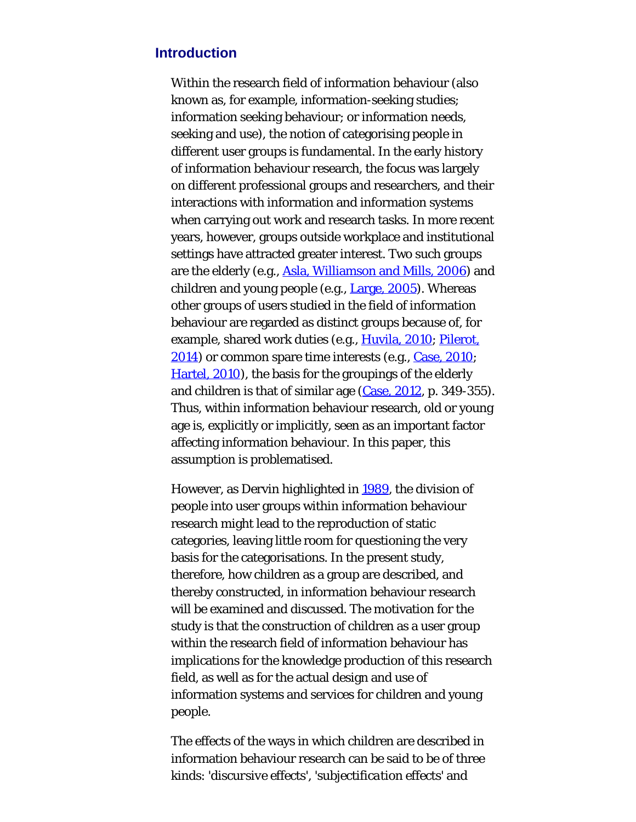#### **Introduction**

Within the research field of information behaviour (also known as, for example, information-seeking studies; information seeking behaviour; or information needs, seeking and use), the notion of categorising people in different user groups is fundamental. In the early history of information behaviour research, the focus was largely on different professional groups and researchers, and their interactions with information and information systems when carrying out work and research tasks. In more recent years, however, groups outside workplace and institutional settings have attracted greater interest. Two such groups are the elderly (e.g., [Asla, Williamson and Mills, 2006](#page-23-0)) and children and young people (e.g., [Large, 2005](#page-23-0)). Whereas other groups of users studied in the field of information behaviour are regarded as distinct groups because of, for example, shared work duties (e.g., [Huvila, 2010](#page-23-0); [Pilerot,](#page-23-0) [2014\)](#page-23-0) or common spare time interests (e.g., [Case, 2010](#page-23-0); [Hartel, 2010\)](#page-23-0), the basis for the groupings of the elderly and children is that of similar age [\(Case, 2012](#page-23-0), p. 349-355). Thus, within information behaviour research, old or young age is, explicitly or implicitly, seen as an important factor affecting information behaviour. In this paper, this assumption is problematised.

However, as Dervin highlighted in [1989](#page-23-0), the division of people into user groups within information behaviour research might lead to the reproduction of static categories, leaving little room for questioning the very basis for the categorisations. In the present study, therefore, how children as a group are described, and thereby constructed, in information behaviour research will be examined and discussed. The motivation for the study is that the construction of children as a user group within the research field of information behaviour has implications for the knowledge production of this research field, as well as for the actual design and use of information systems and services for children and young people.

The effects of the ways in which children are described in information behaviour research can be said to be of three kinds: *'discursive effects', 'subjectification effects'* and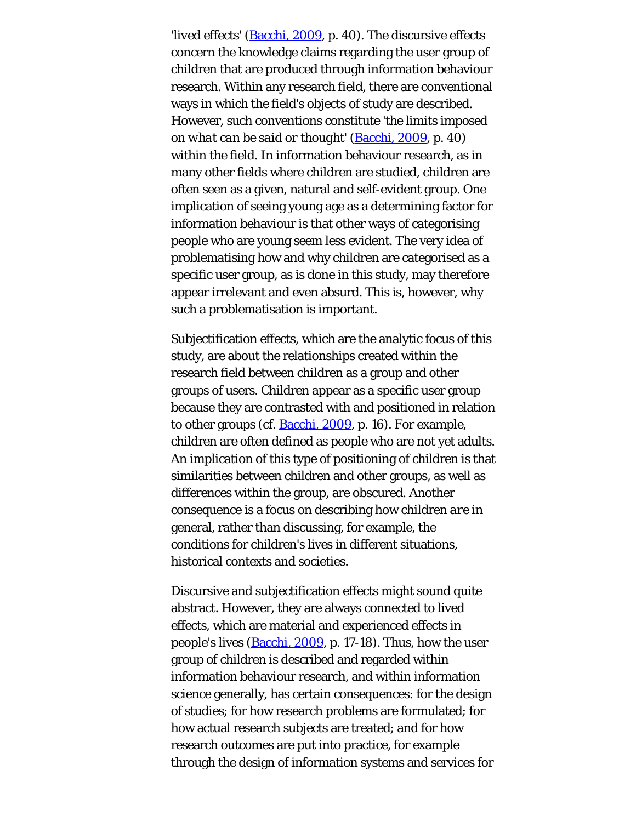*'lived effects'* ([Bacchi, 2009](#page-23-0), p. 40). The discursive effects concern the knowledge claims regarding the user group of children that are produced through information behaviour research. Within any research field, there are conventional ways in which the field's objects of study are described. However, such conventions constitute *'the limits imposed on what can be said or thought'* [\(Bacchi, 2009](#page-23-0), p. 40) within the field. In information behaviour research, as in many other fields where children are studied, children are often seen as a given, natural and self-evident group. One implication of seeing young age as a determining factor for information behaviour is that other ways of categorising people who are young seem less evident. The very idea of problematising how and why children are categorised as a specific user group, as is done in this study, may therefore appear irrelevant and even absurd. This is, however, why such a problematisation is important.

Subjectification effects, which are the analytic focus of this study, are about the relationships created within the research field between children as a group and other groups of users. Children appear as a specific user group because they are contrasted with and positioned in relation to other groups (cf. **Bacchi**, 2009, p. 16). For example, children are often defined as people who are not yet adults. An implication of this type of positioning of children is that similarities between children and other groups, as well as differences within the group, are obscured. Another consequence is a focus on describing how children *are* in general, rather than discussing, for example, the conditions for children's lives in different situations, historical contexts and societies.

Discursive and subjectification effects might sound quite abstract. However, they are always connected to lived effects, which are material and experienced effects in people's lives [\(Bacchi, 2009](#page-23-0), p. 17-18). Thus, how the user group of children is described and regarded within information behaviour research, and within information science generally, has certain consequences: for the design of studies; for how research problems are formulated; for how actual research subjects are treated; and for how research outcomes are put into practice, for example through the design of information systems and services for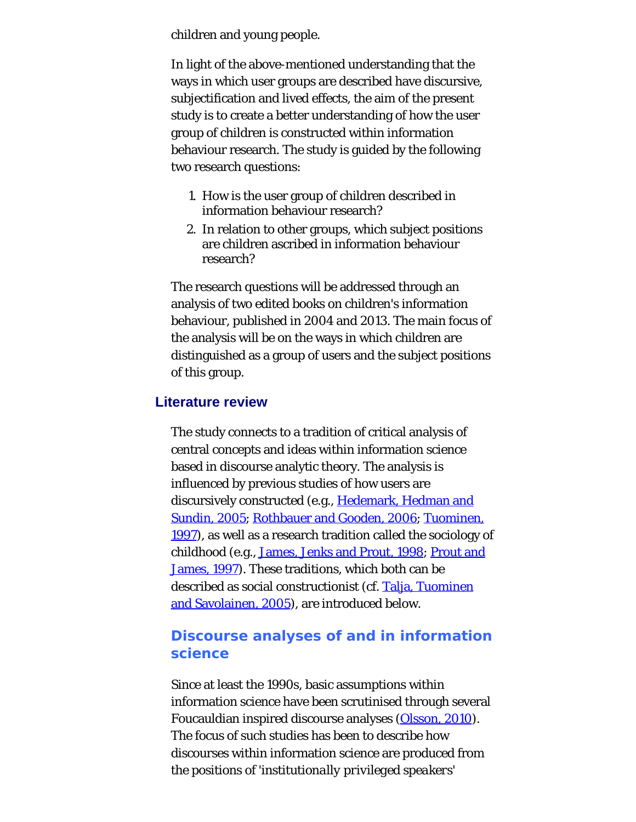children and young people.

In light of the above-mentioned understanding that the ways in which user groups are described have discursive, subjectification and lived effects, the aim of the present study is to create a better understanding of how the user group of children is constructed within information behaviour research. The study is guided by the following two research questions:

- 1. How is the user group of children described in information behaviour research?
- 2. In relation to other groups, which subject positions are children ascribed in information behaviour research?

The research questions will be addressed through an analysis of two edited books on children's information behaviour, published in 2004 and 2013. The main focus of the analysis will be on the ways in which children are distinguished as a group of users and the subject positions of this group.

#### **Literature review**

The study connects to a tradition of critical analysis of central concepts and ideas within information science based in discourse analytic theory. The analysis is influenced by previous studies of how users are discursively constructed (e.g., [Hedemark, Hedman and](#page-23-0) [Sundin, 2005;](#page-23-0) [Rothbauer and Gooden, 2006](#page-23-1); [Tuominen,](#page-23-2) [1997\)](#page-23-2), as well as a research tradition called the sociology of childhood (e.g., [James, Jenks and Prout, 1998](#page-23-0); [Prout and](#page-23-0) [James, 1997\)](#page-23-0). These traditions, which both can be described as social constructionist (cf. [Talja, Tuominen](#page-23-3) [and Savolainen, 2005\)](#page-23-3), are introduced below.

# **Discourse analyses of and in information science**

Since at least the 1990s, basic assumptions within information science have been scrutinised through several Foucauldian inspired discourse analyses [\(Olsson, 2010](#page-23-0)). The focus of such studies has been to describe how discourses within information science are produced from the positions of '*institutionally privileged speakers*'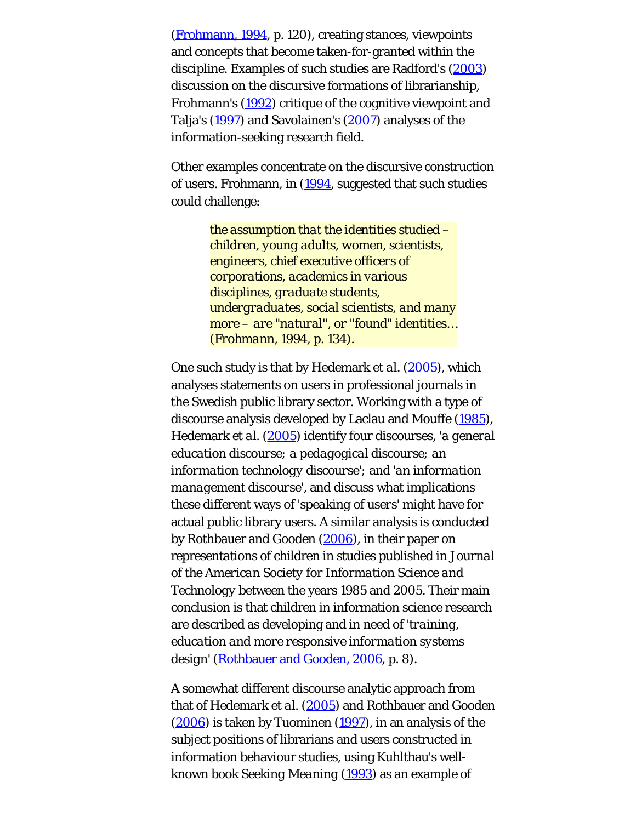([Frohmann, 1994](#page-23-0), p. 120), creating stances, viewpoints and concepts that become taken-for-granted within the discipline. Examples of such studies are Radford's [\(2003](#page-23-4)) discussion on the discursive formations of librarianship, Frohmann's [\(1992](#page-23-0)) critique of the cognitive viewpoint and Talja's [\(1997\)](#page-23-5) and Savolainen's [\(2007](#page-23-6)) analyses of the information-seeking research field.

Other examples concentrate on the discursive construction of *users*. Frohmann, in ([1994,](#page-23-0) suggested that such studies could challenge:

> *the assumption that the identities studied – children, young adults, women, scientists, engineers, chief executive officers of corporations, academics in various disciplines, graduate students, undergraduates, social scientists, and many more – are "natural", or "found" identities… (Frohmann, 1994, p. 134).*

One such study is that by Hedemark *et al.* ([2005\)](#page-23-0), which analyses statements on users in professional journals in the Swedish public library sector. Working with a type of discourse analysis developed by Laclau and Mouffe [\(1985](#page-23-0)), Hedemark *et al.* [\(2005](#page-23-0)) identify four discourses, *'a general education discourse; a pedagogical discourse; an information technology discourse';* and *'an information management discourse'*, and discuss what implications these different ways of *'speaking of users'* might have for actual public library users. A similar analysis is conducted by Rothbauer and Gooden [\(2006](#page-23-1)), in their paper on representations of children in studies published in *Journal of the American Society for Information Science and Technology* between the years 1985 and 2005. Their main conclusion is that children in information science research are described as developing and in need of *'training, education and more responsive information systems design'* ([Rothbauer and Gooden, 2006,](#page-23-1) p. 8).

A somewhat different discourse analytic approach from that of Hedemark *et al*. [\(2005](#page-23-0)) and Rothbauer and Gooden [\(2006](#page-23-1)) is taken by Tuominen [\(1997](#page-23-2)), in an analysis of the subject positions of librarians and users constructed in information behaviour studies, using Kuhlthau's wellknown book *Seeking Meaning* ([1993](#page-23-0)) as an example of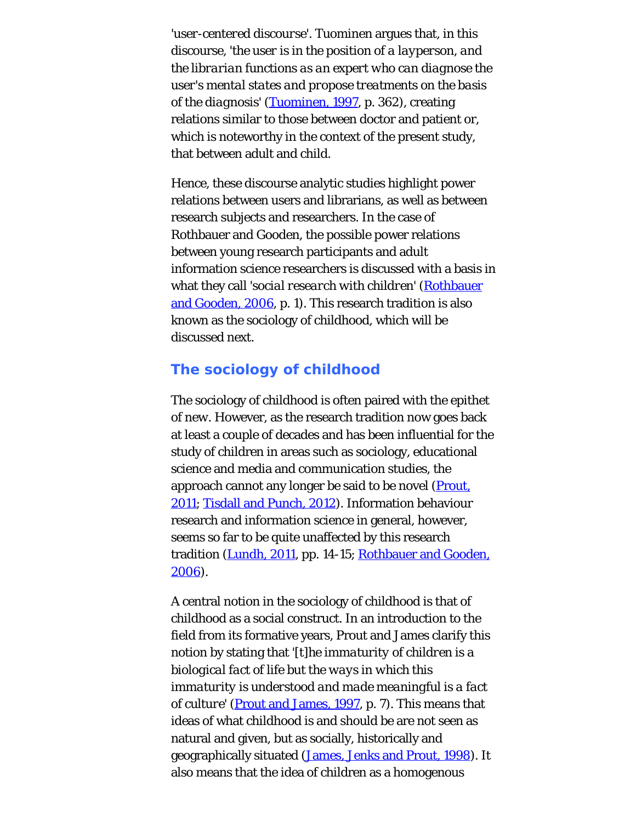*'user-centered discourse'*. Tuominen argues that, in this discourse, *'the user is in the position of a layperson, and the librarian functions as an expert who can diagnose the user's mental states and propose treatments on the basis of the diagnosis'* [\(Tuominen, 1997](#page-23-2), p. 362), creating relations similar to those between doctor and patient or, which is noteworthy in the context of the present study, that between adult and child.

Hence, these discourse analytic studies highlight power relations between users and librarians, as well as between research subjects and researchers. In the case of Rothbauer and Gooden, the possible power relations between young research participants and adult information science researchers is discussed with a basis in what they call *'social research with children'* ([Rothbauer](#page-23-1) [and Gooden, 2006](#page-23-1), p. 1). This research tradition is also known as the sociology of childhood, which will be discussed next.

# **The sociology of childhood**

The sociology of childhood is often paired with the epithet of *new*. However, as the research tradition now goes back at least a couple of decades and has been influential for the study of children in areas such as sociology, educational science and media and communication studies, the approach cannot any longer be said to be novel ([Prout,](#page-23-0) [2011;](#page-23-0) [Tisdall and Punch, 2012](#page-23-7)). Information behaviour research and information science in general, however, seems so far to be quite unaffected by this research tradition ([Lundh, 2011](#page-23-0), pp. 14-15; [Rothbauer and Gooden,](#page-23-1) [2006\)](#page-23-1).

A central notion in the sociology of childhood is that of childhood as a social construct. In an introduction to the field from its formative years, Prout and James clarify this notion by stating that *'[t]he immaturity of children is a biological fact of life but the ways in which this immaturity is understood and made meaningful is a fact of culture'* (**Prout and James, 1997**, p. 7). This means that ideas of what childhood is and should be are not seen as natural and given, but as socially, historically and geographically situated [\(James, Jenks and Prout, 1998](#page-23-0)). It also means that the idea of children as a homogenous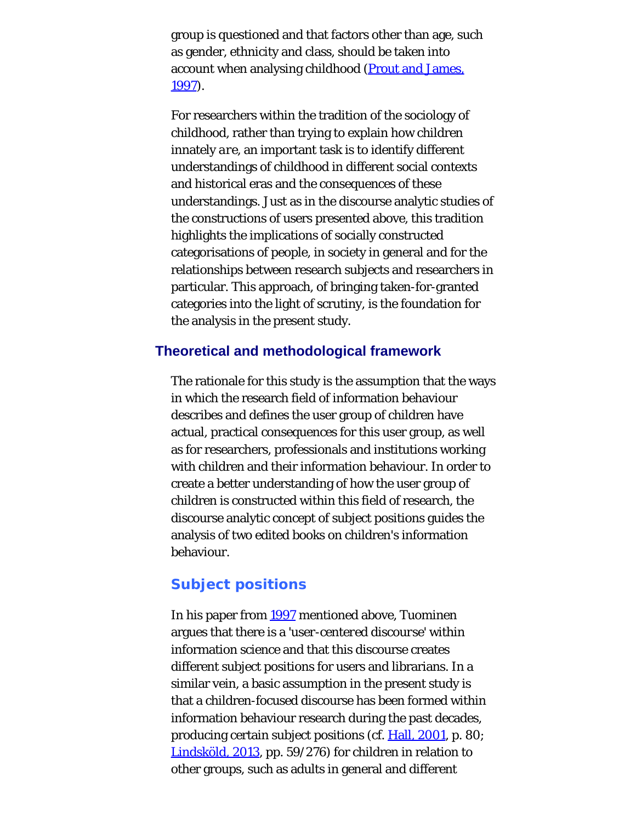group is questioned and that factors other than age, such as gender, ethnicity and class, should be taken into account when analysing childhood [\(Prout and James,](#page-23-0) [1997\)](#page-23-0).

For researchers within the tradition of the sociology of childhood, rather than trying to explain how children innately *are*, an important task is to identify different understandings of childhood in different social contexts and historical eras and the consequences of these understandings. Just as in the discourse analytic studies of the constructions of users presented above, this tradition highlights the implications of socially constructed categorisations of people, in society in general and for the relationships between research subjects and researchers in particular. This approach, of bringing taken-for-granted categories into the light of scrutiny, is the foundation for the analysis in the present study.

#### **Theoretical and methodological framework**

The rationale for this study is the assumption that the ways in which the research field of information behaviour describes and defines the user group of children have actual, practical consequences for this user group, as well as for researchers, professionals and institutions working with children and their information behaviour. In order to create a better understanding of how the user group of children is constructed within this field of research, the discourse analytic concept of subject positions guides the analysis of two edited books on children's information behaviour.

#### **Subject positions**

In his paper from [1997](#page-23-2) mentioned above, Tuominen argues that there is a *'user-centered discourse'* within information science and that this discourse creates different subject positions for users and librarians. In a similar vein, a basic assumption in the present study is that a children-focused discourse has been formed within information behaviour research during the past decades, producing certain subject positions (cf. [Hall, 2001](#page-23-0), p. 80; [Lindsköld, 2013,](#page-23-0) pp. 59/276) for children in relation to other groups, such as adults in general and different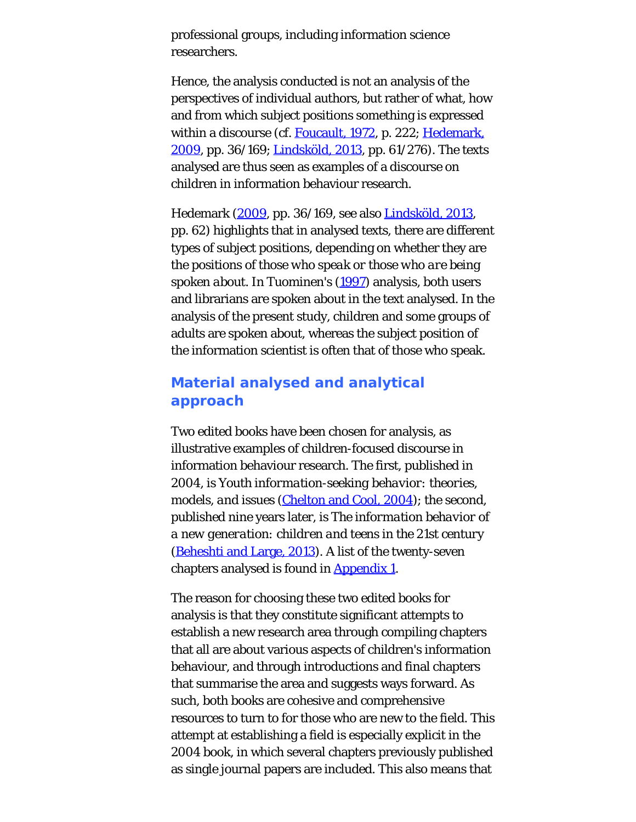professional groups, including information science researchers.

Hence, the analysis conducted is not an analysis of the perspectives of individual authors, but rather of what, how and from which subject positions something is expressed within a discourse (cf. [Foucault, 1972](#page-23-0), p. 222; [Hedemark,](#page-23-0) [2009,](#page-23-0) pp. 36/169; [Lindsköld, 2013](#page-23-0), pp. 61/276). The texts analysed are thus seen as examples of a discourse on children in information behaviour research.

Hedemark [\(2009](#page-23-0), pp. 36/169, see also [Lindsköld, 2013](#page-23-0), pp. 62) highlights that in analysed texts, there are different types of subject positions, depending on whether they are the positions of *those who speak or those who are being spoken about*. In Tuominen's ([1997\)](#page-23-2) analysis, both users and librarians are spoken about in the text analysed. In the analysis of the present study, children and some groups of adults are spoken about, whereas the subject position of the information scientist is often that of those who speak.

# **Material analysed and analytical approach**

Two edited books have been chosen for analysis, as illustrative examples of children-focused discourse in information behaviour research. The first, published in 2004, is *Youth information-seeking behavior: theories, models, and issues* [\(Chelton and Cool, 2004](#page-23-0)); the second, published nine years later, is *The information behavior of a new generation: children and teens in the 21st century* ([Beheshti and Large, 2013](#page-23-0)). A list of the twenty-seven chapters analysed is found in [Appendix 1](#page-24-0).

The reason for choosing these two edited books for analysis is that they constitute significant attempts to establish a new research area through compiling chapters that all are about various aspects of children's information behaviour, and through introductions and final chapters that summarise the area and suggests ways forward. As such, both books are cohesive and comprehensive resources to turn to for those who are new to the field. This attempt at establishing a field is especially explicit in the 2004 book, in which several chapters previously published as single journal papers are included. This also means that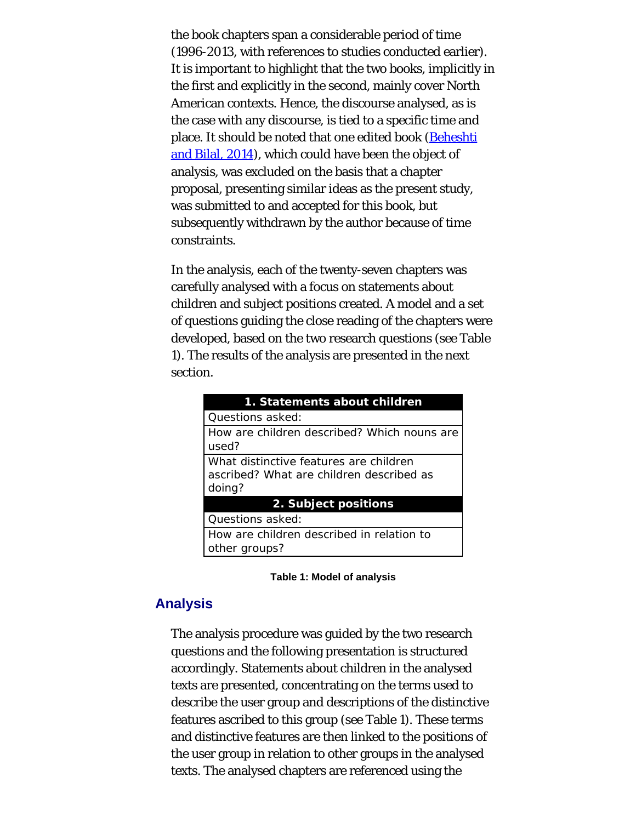the book chapters span a considerable period of time (1996-2013, with references to studies conducted earlier). It is important to highlight that the two books, implicitly in the first and explicitly in the second, mainly cover North American contexts. Hence, the discourse analysed, as is the case with any discourse, is tied to a specific time and place. It should be noted that one edited book [\(Beheshti](#page-23-0) [and Bilal, 2014\)](#page-23-0), which could have been the object of analysis, was excluded on the basis that a chapter proposal, presenting similar ideas as the present study, was submitted to and accepted for this book, but subsequently withdrawn by the author because of time constraints.

In the analysis, each of the twenty-seven chapters was carefully analysed with a focus on statements about children and subject positions created. A model and a set of questions guiding the close reading of the chapters were developed, based on the two research questions (see Table 1). The results of the analysis are presented in the next section.

| 1. Statements about children                                                                 |  |  |
|----------------------------------------------------------------------------------------------|--|--|
| Questions asked:                                                                             |  |  |
| How are children described? Which nouns are<br>used?                                         |  |  |
| What distinctive features are children<br>ascribed? What are children described as<br>doing? |  |  |
| 2. Subject positions                                                                         |  |  |
| Questions asked:                                                                             |  |  |
| How are children described in relation to<br>other groups?                                   |  |  |



#### **Analysis**

The analysis procedure was guided by the two research questions and the following presentation is structured accordingly. Statements about children in the analysed texts are presented, concentrating on the terms used to describe the user group and descriptions of the distinctive features ascribed to this group (see Table 1). These terms and distinctive features are then linked to the positions of the user group in relation to other groups in the analysed texts. The analysed chapters are referenced using the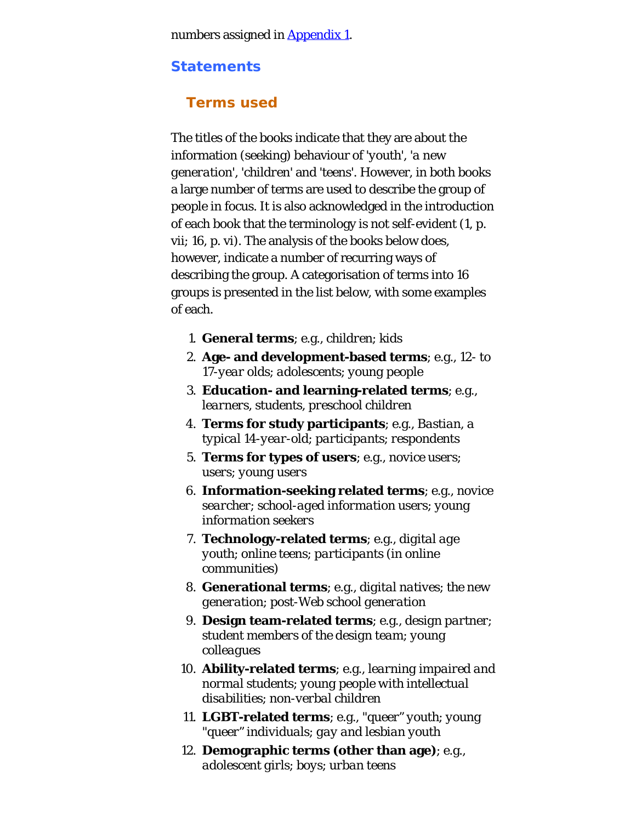numbers assigned in [Appendix 1](#page-24-0).

#### **Statements**

## **Terms used**

The titles of the books indicate that they are about the information (seeking) behaviour of *'youth', 'a new generation', 'children'* and *'teens'*. However, in both books a large number of terms are used to describe the group of people in focus. It is also acknowledged in the introduction of each book that the terminology is not self-evident (1, p. vii; 16, p. vi). The analysis of the books below does, however, indicate a number of recurring ways of describing the group. A categorisation of terms into 16 groups is presented in the list below, with some examples of each.

- 1. **General terms**; e.g., *children*; *kids*
- 2. **Age- and development-based terms**; e.g., *12- to 17-year olds*; *adolescents*; *young people*
- 3. **Education- and learning-related terms**; e.g., *learners*, *students*, *preschool children*
- 4. **Terms for study participants**; e.g., *Bastian, a typical 14-year-old*; *participants*; *respondents*
- 5. **Terms for types of users**; e.g., *novice users*; *users*; *young users*
- 6. **Information-seeking related terms**; e.g., *novice searcher*; *school-aged information users*; *young information seekers*
- 7. **Technology-related terms**; e.g., *digital age youth*; *online teens*; *participants (in online communities)*
- 8. **Generational terms**; e.g., *digital natives*; *the new generation*; *post-Web school generation*
- 9. **Design team-related terms**; e.g., *design partner*; *student members of the design team*; *young colleagues*
- 10. **Ability-related terms**; e.g., *learning impaired and normal students*; *young people with intellectual disabilities*; *non-verbal children*
- 11. **LGBT-related terms**; e.g., *"queer" youth*; *young "queer" individuals*; *gay and lesbian youth*
- 12. **Demographic terms (other than age)**; e.g., *adolescent girls*; *boys*; *urban teens*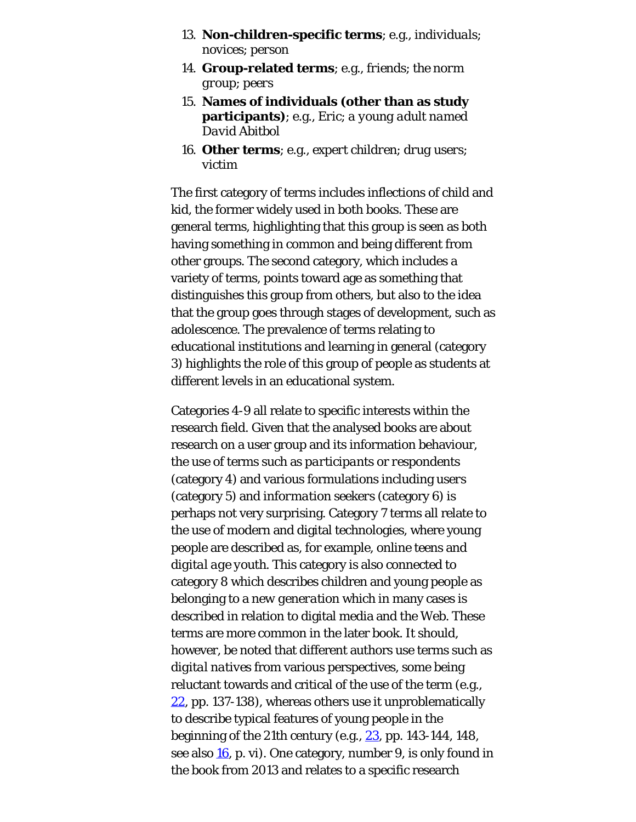- 13. **Non-children-specific terms**; e.g., *individuals*; *novices*; *person*
- 14. **Group-related terms**; e.g., *friends*; *the norm group*; *peers*
- 15. **Names of individuals (other than as study participants)**; e.g., *Eric*; *a young adult named David Abitbol*
- 16. **Other terms**; e.g., *expert children*; *drug users*; *victim*

The first category of terms includes inflections of *child* and *kid*, the former widely used in both books. These are general terms, highlighting that this group is seen as both having something in common and being different from other groups. The second category, which includes a variety of terms, points toward age as something that distinguishes this group from others, but also to the idea that the group goes through stages of development, such as adolescence. The prevalence of terms relating to educational institutions and learning in general (category 3) highlights the role of this group of people as students at different levels in an educational system.

Categories 4-9 all relate to specific interests within the research field. Given that the analysed books are about research on a user group and its information behaviour, the use of terms such as *participants* or *respondents* (category 4) and various formulations including *users* (category 5) and *information seekers* (category 6) is perhaps not very surprising. Category 7 terms all relate to the use of modern and digital technologies, where young people are described as, for example, *online teens* and *digital age youth*. This category is also connected to category 8 which describes children and young people as belonging to a *new generation* which in many cases is described in relation to digital media and the Web. These terms are more common in the later book. It should, however, be noted that different authors use terms such as *digital natives* from various perspectives, some being reluctant towards and critical of the use of the term (e.g., [22,](#page-27-0) pp. 137-138), whereas others use it unproblematically to describe typical features of young people in the beginning of the 21th century (e.g.,  $23$ , pp. 143-144, 148, see also  $16$ , p. vi). One category, number 9, is only found in the book from 2013 and relates to a specific research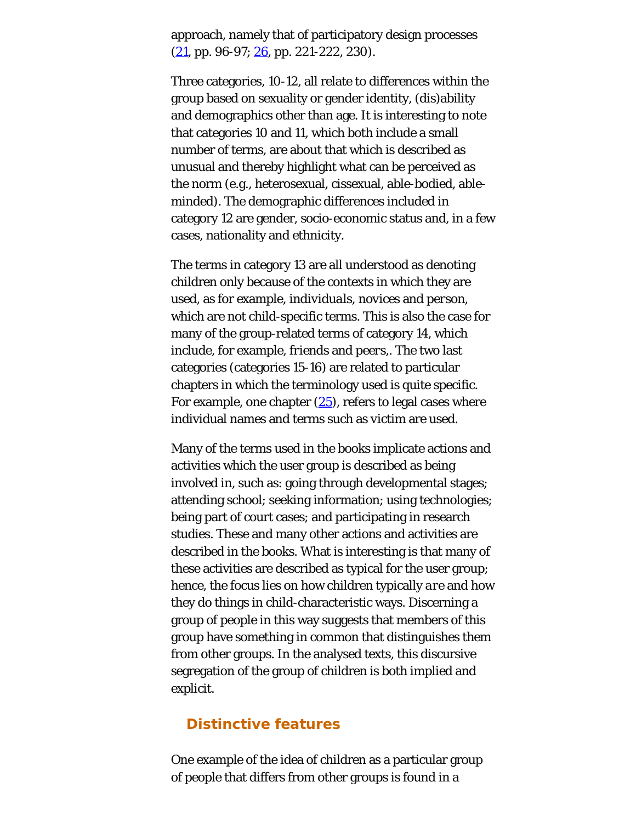approach, namely that of participatory design processes  $(21, pp. 96-97; 26, pp. 221-222, 230).$  $(21, pp. 96-97; 26, pp. 221-222, 230).$  $(21, pp. 96-97; 26, pp. 221-222, 230).$  $(21, pp. 96-97; 26, pp. 221-222, 230).$  $(21, pp. 96-97; 26, pp. 221-222, 230).$ 

Three categories, 10-12, all relate to differences within the group based on sexuality or gender identity, (dis)ability and demographics other than age. It is interesting to note that categories 10 and 11, which both include a small number of terms, are about that which is described as unusual and thereby highlight what can be perceived as the norm (e.g., heterosexual, cissexual, able-bodied, ableminded). The demographic differences included in category 12 are gender, socio-economic status and, in a few cases, nationality and ethnicity.

The terms in category 13 are all understood as denoting children only because of the contexts in which they are used, as for example, *individuals*, *novices* and *person*, which are not child-specific terms. This is also the case for many of the group-related terms of category 14, which include, for example, *friends* and *peers,*. The two last categories (categories 15-16) are related to particular chapters in which the terminology used is quite specific. For example, one chapter  $(25)$  $(25)$ , refers to legal cases where individual names and terms such as *victim* are used.

Many of the terms used in the books implicate actions and activities which the user group is described as being involved in, such as: going through developmental stages; attending school; seeking information; using technologies; being part of court cases; and participating in research studies. These and many other actions and activities are described in the books. What is interesting is that many of these activities are described as typical for the user group; hence, the focus lies on how children typically *are* and how they do things in child-characteristic ways. Discerning a group of people in this way suggests that members of this group have something in common that distinguishes them from other groups. In the analysed texts, this discursive segregation of the group of children is both implied and explicit.

## **Distinctive features**

One example of the idea of children as a particular group of people that differs from other groups is found in a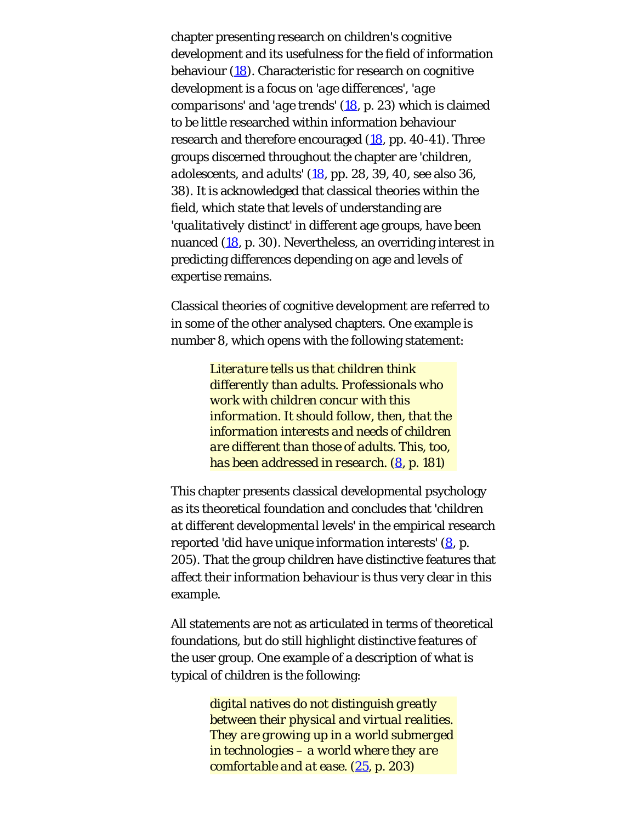chapter presenting research on children's cognitive development and its usefulness for the field of information behaviour [\(18](#page-27-0)). Characteristic for research on cognitive development is a focus on *'age differences'*, *'age comparisons'* and *'age trends'* [\(18](#page-27-0), p. 23) which is claimed to be little researched within information behaviour research and therefore encouraged ([18](#page-27-0), pp. 40-41). Three groups discerned throughout the chapter are *'children, adolescents, and adults'* ([18](#page-27-0), pp. 28, 39, 40, see also 36, 38). It is acknowledged that classical theories within the field, which state that levels of understanding are *'qualitatively distinct'* in different age groups, have been nuanced [\(18](#page-27-0), p. 30). Nevertheless, an overriding interest in predicting differences depending on age and levels of expertise remains.

Classical theories of cognitive development are referred to in some of the other analysed chapters. One example is number 8, which opens with the following statement:

> *Literature tells us that children think differently than adults. Professionals who work with children concur with this information. It should follow, then, that the information interests and needs of children are different than those of adults. This, too, has been addressed in research. [\(8](#page-27-0), p. 181)*

This chapter presents classical developmental psychology as its theoretical foundation and concludes that *'children at different developmental levels'* in the empirical research reported *'did have unique information interests'* ([8,](#page-27-0) p. 205). That the group *children* have distinctive features that affect their information behaviour is thus very clear in this example.

All statements are not as articulated in terms of theoretical foundations, but do still highlight distinctive features of the user group. One example of a description of what is typical of children is the following:

> *digital natives do not distinguish greatly between their physical and virtual realities. They are growing up in a world submerged in technologies – a world where they are comfortable and at ease. ([25,](#page-27-0) p. 203)*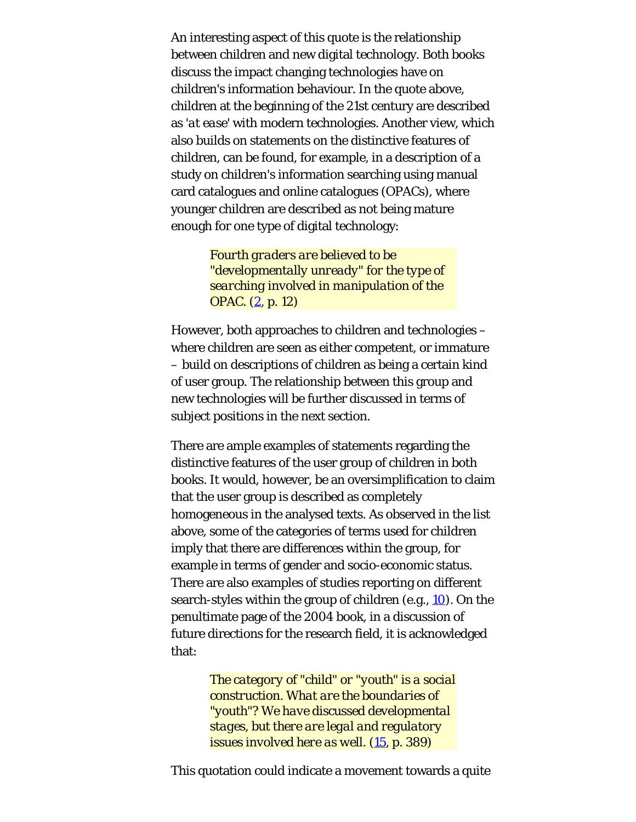An interesting aspect of this quote is the relationship between children and new digital technology. Both books discuss the impact changing technologies have on children's information behaviour. In the quote above, children at the beginning of the 21st century are described as *'at ease'* with modern technologies. Another view, which also builds on statements on the distinctive features of children, can be found, for example, in a description of a study on children's information searching using manual card catalogues and online catalogues (OPACs), where younger children are described as not being mature enough for one type of digital technology:

> *Fourth graders are believed to be "developmentally unready" for the type of searching involved in manipulation of the OPAC. [\(2](#page-27-0), p. 12)*

However, both approaches to children and technologies – where children are seen as either competent, or immature – build on descriptions of children as being a certain kind of user group. The relationship between this group and new technologies will be further discussed in terms of subject positions in the next section.

There are ample examples of statements regarding the distinctive features of the user group of children in both books. It would, however, be an oversimplification to claim that the user group is described as completely homogeneous in the analysed texts. As observed in the list above, some of the categories of terms used for children imply that there are differences within the group, for example in terms of gender and socio-economic status. There are also examples of studies reporting on different search-styles within the group of children (e.g., [10](#page-27-0)). On the penultimate page of the 2004 book, in a discussion of future directions for the research field, it is acknowledged that:

> *The category of "child" or "youth" is a social construction. What are the boundaries of "youth"? We have discussed developmental stages, but there are legal and regulatory issues involved here as well. ([15](#page-27-0), p. 389)*

This quotation could indicate a movement towards a quite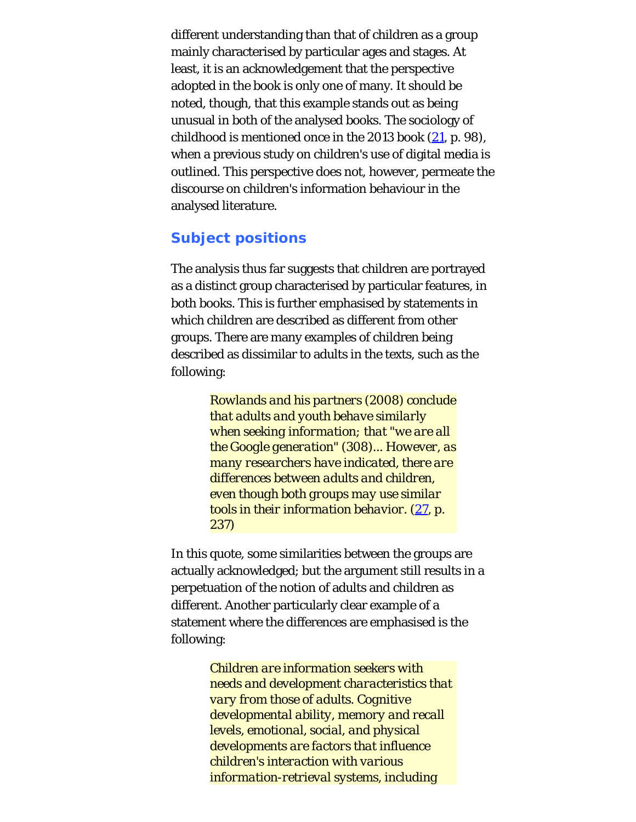different understanding than that of children as a group mainly characterised by particular ages and stages. At least, it is an acknowledgement that the perspective adopted in the book is only one of many. It should be noted, though, that this example stands out as being unusual in both of the analysed books. The sociology of childhood is mentioned once in the 2013 book [\(21](#page-27-0), p. 98), when a previous study on children's use of digital media is outlined. This perspective does not, however, permeate the discourse on children's information behaviour in the analysed literature.

# **Subject positions**

The analysis thus far suggests that children are portrayed as a distinct group characterised by particular features, in both books. This is further emphasised by statements in which children are described as different from other groups. There are many examples of children being described as dissimilar to adults in the texts, such as the following:

> *Rowlands and his partners (2008) conclude that adults and youth behave similarly when seeking information; that "we are all the Google generation" (308)... However, as many researchers have indicated, there are differences between adults and children, even though both groups may use similar tools in their information behavior. [\(27](#page-27-1), p. 237)*

In this quote, some similarities between the groups are actually acknowledged; but the argument still results in a perpetuation of the notion of adults and children as different. Another particularly clear example of a statement where the differences are emphasised is the following:

> *Children are information seekers with needs and development characteristics that vary from those of adults. Cognitive developmental ability, memory and recall levels, emotional, social, and physical developments are factors that influence children's interaction with various information-retrieval systems, including*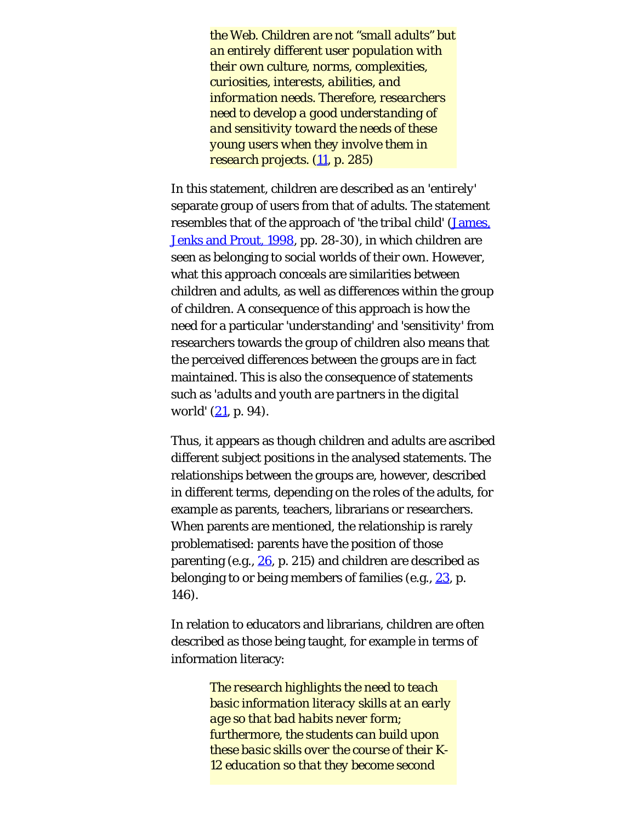*the Web. Children are not "small adults" but an entirely different user population with their own culture, norms, complexities, curiosities, interests, abilities, and information needs. Therefore, researchers need to develop a good understanding of and sensitivity toward the needs of these young users when they involve them in research projects. [\(11](#page-27-0), p. 285)*

In this statement, children are described as an *'entirely'* separate group of users from that of adults. The statement resembles that of the approach of *'the tribal child'* [\(James,](#page-23-0) [Jenks and Prout, 1998,](#page-23-0) pp. 28-30), in which children are seen as belonging to social worlds of their own. However, what this approach conceals are similarities between children and adults, as well as differences within the group of children. A consequence of this approach is how the need for a particular *'understanding'* and *'sensitivity'* from researchers towards the group of children also means that the perceived differences between the groups are in fact maintained. This is also the consequence of statements such as *'adults and youth are partners in the digital world'* ([21](#page-27-0), p. 94).

Thus, it appears as though children and adults are ascribed different subject positions in the analysed statements. The relationships between the groups are, however, described in different terms, depending on the roles of the adults, for example as parents, teachers, librarians or researchers. When parents are mentioned, the relationship is rarely problematised: parents have the position of those parenting (e.g.,  $26$ , p. 215) and children are described as belonging to or being members of families (e.g.,  $23$ , p. 146).

In relation to educators and librarians, children are often described as those being taught, for example in terms of information literacy:

> *The research highlights the need to teach basic information literacy skills at an early age so that bad habits never form; furthermore, the students can build upon these basic skills over the course of their K-12 education so that they become second*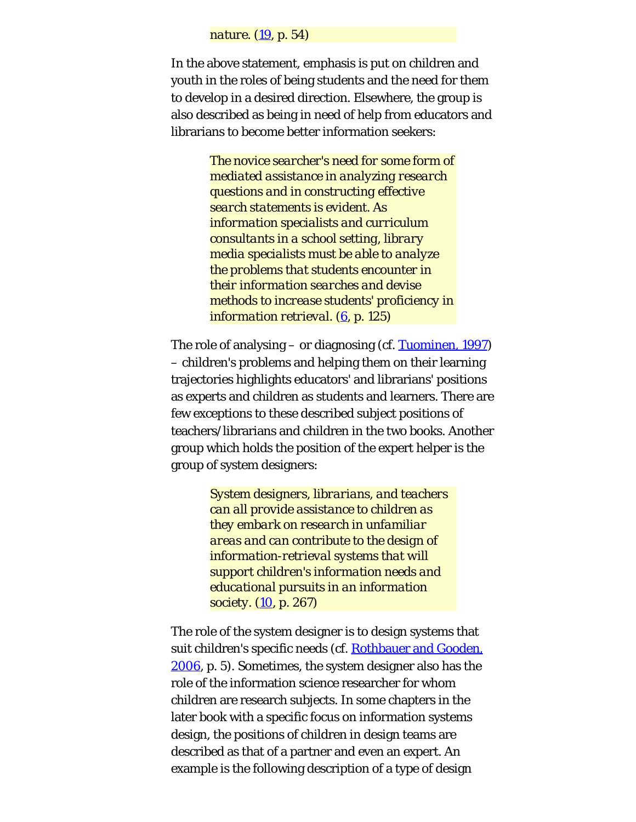#### *nature. ([19](#page-27-0), p. 54)*

In the above statement, emphasis is put on children and youth in the roles of being students and the need for them to develop in a desired direction. Elsewhere, the group is also described as being in need of help from educators and librarians to become better information seekers:

> *The novice searcher's need for some form of mediated assistance in analyzing research questions and in constructing effective search statements is evident. As information specialists and curriculum consultants in a school setting, library media specialists must be able to analyze the problems that students encounter in their information searches and devise methods to increase students' proficiency in information retrieval. [\(6](#page-27-0), p. 125)*

The role of analysing – or diagnosing (cf. [Tuominen, 1997](#page-23-2)) – children's problems and helping them on their learning trajectories highlights educators' and librarians' positions as experts and children as students and learners. There are few exceptions to these described subject positions of teachers/librarians and children in the two books. Another group which holds the position of the expert helper is the group of system designers:

> *System designers, librarians, and teachers can all provide assistance to children as they embark on research in unfamiliar areas and can contribute to the design of information-retrieval systems that will support children's information needs and educational pursuits in an information society. [\(10](#page-27-0), p. 267)*

The role of the system designer is to design systems that suit children's specific needs (cf. [Rothbauer and Gooden,](#page-23-1) [2006,](#page-23-1) p. 5). Sometimes, the system designer also has the role of the information science researcher for whom children are research subjects. In some chapters in the later book with a specific focus on information systems design, the positions of children in design teams are described as that of a partner and even an expert. An example is the following description of a type of design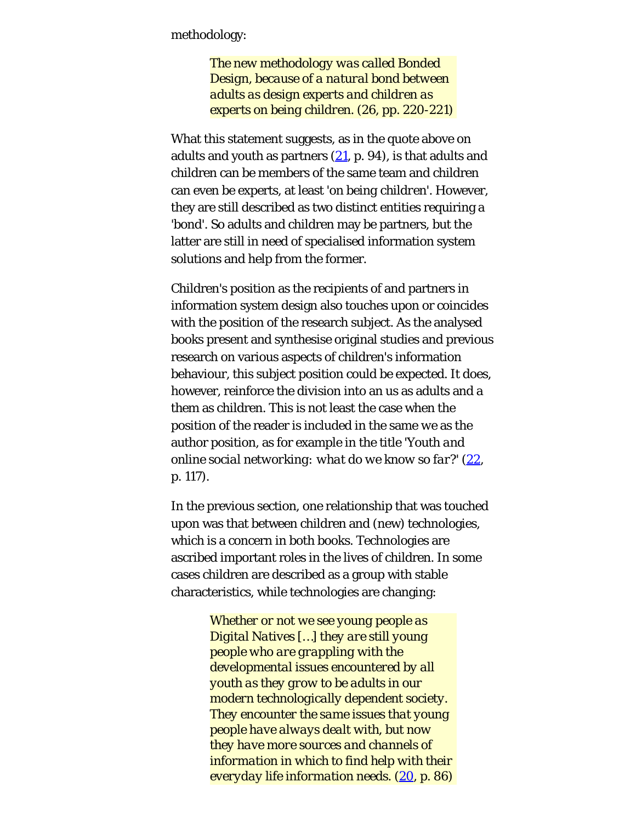methodology:

*The new methodology was called Bonded Design, because of a natural bond between adults as design experts and children as experts on being children. (26, pp. 220-221)*

What this statement suggests, as in the quote above on adults and youth as partners  $(21, p. 94)$  $(21, p. 94)$ , is that adults and children can be members of the same team and children can even be experts, at least *'on being children'*. However, they are still described as two distinct entities requiring a *'bond'*. So adults and children may be partners, but the latter are still in need of specialised information system solutions and help from the former.

Children's position as the recipients of and partners in information system design also touches upon or coincides with the position of the research subject. As the analysed books present and synthesise original studies and previous research on various aspects of children's information behaviour, this subject position could be expected. It does, however, reinforce the division into an *us* as adults and a *them* as children. This is not least the case when the position of the reader is included in the same *we* as the author position, as for example in the title *'Youth and online social networking: what do we know so far?'* ([22](#page-27-0), p. 117).

In the previous section, one relationship that was touched upon was that between children and (new) technologies, which is a concern in both books. Technologies are ascribed important roles in the lives of children. In some cases children are described as a group with stable characteristics, while technologies are changing:

> *Whether or not we see young people as Digital Natives […] they are still young people who are grappling with the developmental issues encountered by all youth as they grow to be adults in our modern technologically dependent society. They encounter the same issues that young people have always dealt with, but now they have more sources and channels of information in which to find help with their everyday life information needs. [\(20](#page-27-0), p. 86)*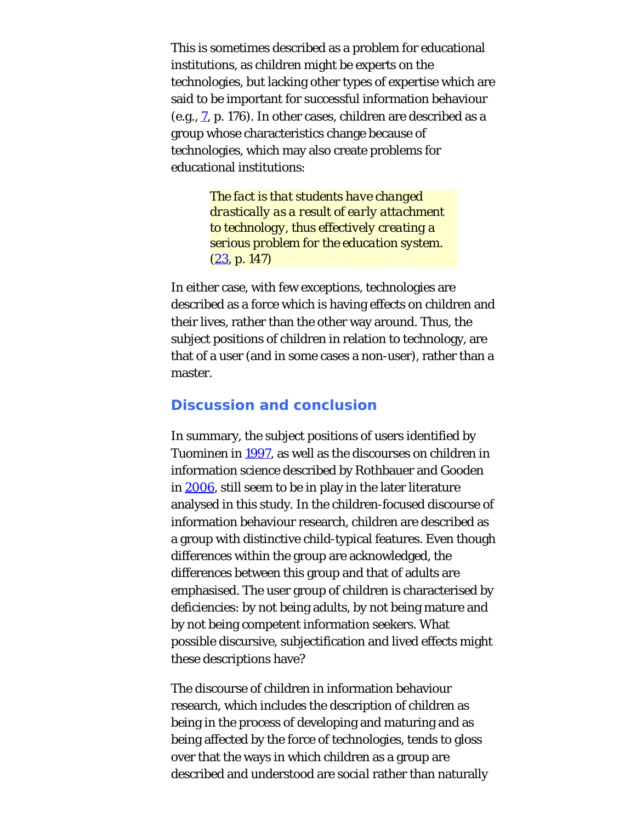This is sometimes described as a problem for educational institutions, as children might be experts on the technologies, but lacking other types of expertise which are said to be important for successful information behaviour (e.g.,  $\overline{z}$ , p. 176). In other cases, children are described as a group whose characteristics change because of technologies, which may also create problems for educational institutions:

> *The fact is that students have changed drastically as a result of early attachment to technology, thus effectively creating a serious problem for the education system. ([23,](#page-27-0) p. 147)*

In either case, with few exceptions, technologies are described as a force which is having effects on children and their lives, rather than the other way around. Thus, the subject positions of children in relation to technology, are that of a user (and in some cases a non-user), rather than a master.

#### **Discussion and conclusion**

In summary, the subject positions of users identified by Tuominen in [1997,](#page-23-2) as well as the discourses on children in information science described by Rothbauer and Gooden in [2006](#page-23-1), still seem to be in play in the later literature analysed in this study. In the children-focused discourse of information behaviour research, children are described as a group with distinctive child-typical features. Even though differences within the group are acknowledged, the differences between this group and that of adults are emphasised. The user group of children is characterised by deficiencies: by *not* being adults, by *not* being mature and by *not* being competent information seekers. What possible discursive, subjectification and lived effects might these descriptions have?

The discourse of children in information behaviour research, which includes the description of children as being in the process of developing and maturing and as being affected by the force of technologies, tends to gloss over that the ways in which children as a group are described and understood are *social* rather than naturally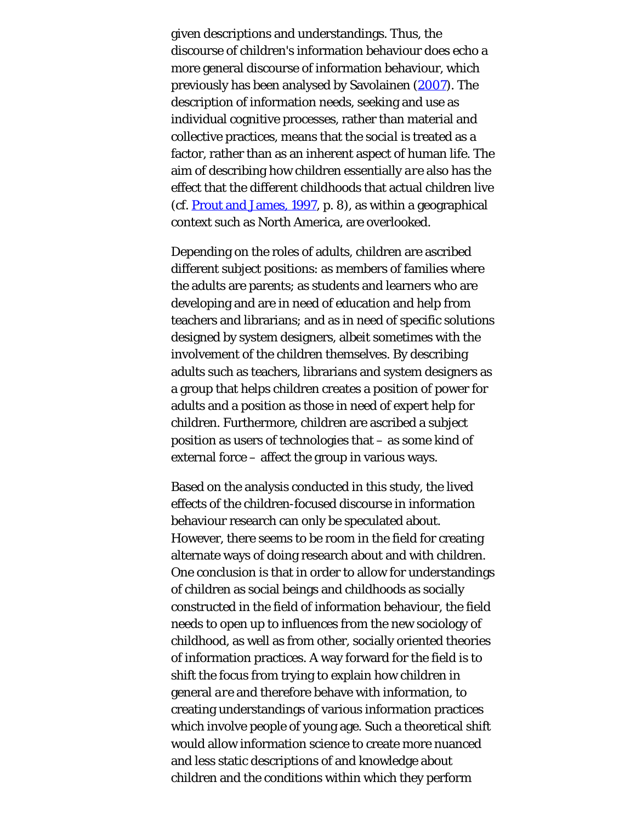given descriptions and understandings. Thus, the discourse of children's information behaviour does echo a more general discourse of information behaviour, which previously has been analysed by Savolainen [\(2007](#page-23-6)). The description of information needs, seeking and use as individual cognitive processes, rather than material and collective practices, means that the *social* is treated as a factor, rather than as an inherent aspect of human life. The aim of describing how children essentially *are* also has the effect that the different childhoods that actual children live (cf. [Prout and James, 1997](#page-23-0), p. 8), as within a geographical context such as North America, are overlooked.

Depending on the roles of adults, children are ascribed different subject positions: as members of families where the adults are parents; as students and learners who are developing and are in need of education and help from teachers and librarians; and as in need of specific solutions designed by system designers, albeit sometimes with the involvement of the children themselves. By describing adults such as teachers, librarians and system designers as a group that helps children creates a position of power for adults and a position as those in need of expert help for children. Furthermore, children are ascribed a subject position as users of technologies that – as some kind of external force – affect the group in various ways.

Based on the analysis conducted in this study, the lived effects of the children-focused discourse in information behaviour research can only be speculated about. However, there seems to be room in the field for creating alternate ways of doing research about and with children. One conclusion is that in order to allow for understandings of children as social beings and childhoods as socially constructed in the field of information behaviour, the field needs to open up to influences from the new sociology of childhood, as well as from other, socially oriented theories of information practices. A way forward for the field is to shift the focus from trying to explain how children in general *are* and therefore behave with information, to creating understandings of various information practices which involve people of young age. Such a theoretical shift would allow information science to create more nuanced and less static descriptions of and knowledge about children and the conditions within which they perform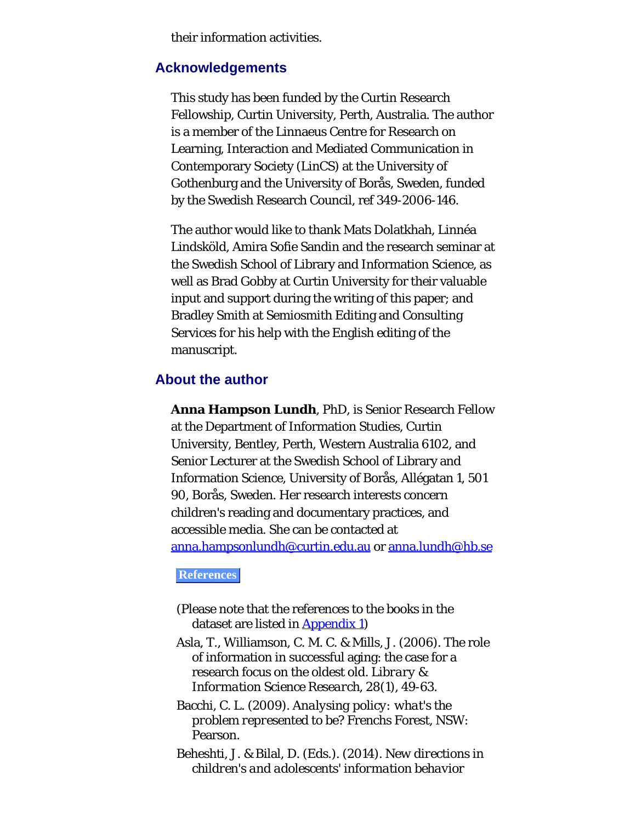their information activities.

#### **Acknowledgements**

This study has been funded by the Curtin Research Fellowship, Curtin University, Perth, Australia. The author is a member of the Linnaeus Centre for Research on Learning, Interaction and Mediated Communication in Contemporary Society (LinCS) at the University of Gothenburg and the University of Borås, Sweden, funded by the Swedish Research Council, ref 349-2006-146.

The author would like to thank Mats Dolatkhah, Linnéa Lindsköld, Amira Sofie Sandin and the research seminar at the Swedish School of Library and Information Science, as well as Brad Gobby at Curtin University for their valuable input and support during the writing of this paper; and Bradley Smith at Semiosmith Editing and Consulting Services for his help with the English editing of the manuscript.

#### <span id="page-20-0"></span>**About the author**

**Anna Hampson Lundh**, PhD, is Senior Research Fellow at the Department of Information Studies, Curtin University, Bentley, Perth, Western Australia 6102, and Senior Lecturer at the Swedish School of Library and Information Science, University of Borås, Allégatan 1, 501 90, Borås, Sweden. Her research interests concern children's reading and documentary practices, and accessible media. She can be contacted at [anna.hampsonlundh@curtin.edu.au](mailto:anna.hampsonlundh@curtin.edu.au) or [anna.lundh@hb.se](mailto:anna.lundh@hb.se)

#### **References**

- (Please note that the references to the books in the dataset are listed in **[Appendix 1](#page-24-0)**)
- Asla, T., Williamson, C. M. C. & Mills, J. (2006). The role of information in successful aging: the case for a research focus on the oldest old. *Library & Information Science Research, 28*(1), 49-63.
- Bacchi, C. L. (2009). *Analysing policy: what's the problem represented to be?* Frenchs Forest, NSW: Pearson.
- Beheshti, J. & Bilal, D. (Eds.). (2014). *New directions in children's and adolescents' information behavior*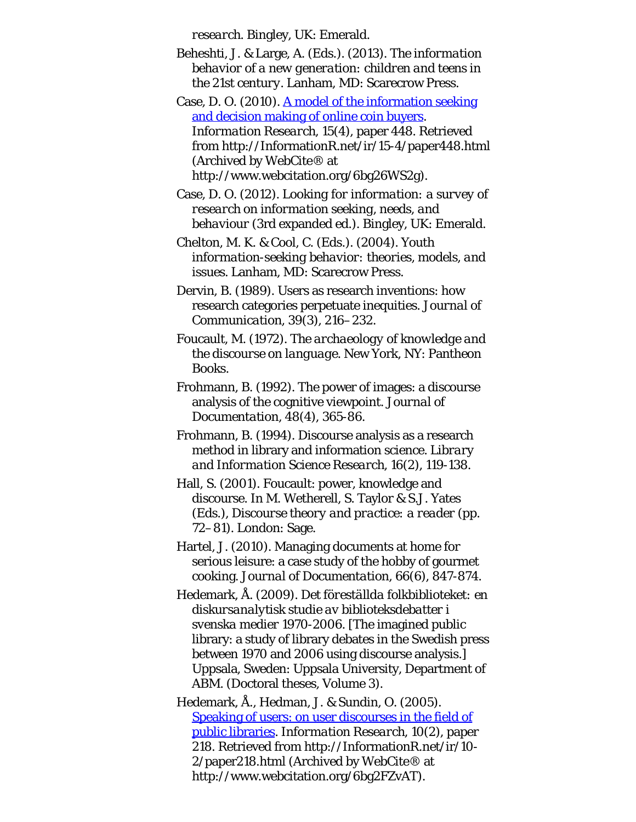*research*. Bingley, UK: Emerald.

- Beheshti, J. & Large, A. (Eds.). (2013). *The information behavior of a new generation: children and teens in the 21st century*. Lanham, MD: Scarecrow Press.
- Case, D. O. (2010). [A model of the information seeking](http://www.webcitation.org/6bg26WS2g) [and decision making of online coin buyers.](http://www.webcitation.org/6bg26WS2g) *Information Research, 15*(4), paper 448. Retrieved from http://InformationR.net/ir/15-4/paper448.html (Archived by WebCite® at http://www.webcitation.org/6bg26WS2g).
- Case, D. O. (2012). *Looking for information: a survey of research on information seeking, needs, and behaviour* (3rd expanded ed.). Bingley, UK: Emerald.
- Chelton, M. K. & Cool, C. (Eds.). (2004). *Youth information-seeking behavior: theories, models, and issues*. Lanham, MD: Scarecrow Press.
- Dervin, B. (1989). Users as research inventions: how research categories perpetuate inequities. *Journal of Communication, 39*(3), 216–232.
- Foucault, M. (1972). *The archaeology of knowledge and the discourse on language*. New York, NY: Pantheon Books.
- Frohmann, B. (1992). The power of images: a discourse analysis of the cognitive viewpoint. *Journal of Documentation, 48*(4), 365-86.
- Frohmann, B. (1994). Discourse analysis as a research method in library and information science. *Library and Information Science Research, 16*(2), 119-138.
- Hall, S. (2001). Foucault: power, knowledge and discourse. In M. Wetherell, S. Taylor & S.J. Yates (Eds.), *Discourse theory and practice: a reader* (pp. 72–81). London: Sage.
- Hartel, J. (2010). Managing documents at home for serious leisure: a case study of the hobby of gourmet cooking. *Journal of Documentation, 66*(6), 847-874.
- Hedemark, Å. (2009). *Det föreställda folkbiblioteket: en diskursanalytisk studie av biblioteksdebatter i svenska medier 1970-2006*. [The imagined public library: a study of library debates in the Swedish press between 1970 and 2006 using discourse analysis.] Uppsala, Sweden: Uppsala University, Department of ABM. (Doctoral theses, Volume 3).
- Hedemark, Å., Hedman, J. & Sundin, O. (2005). [Speaking of users: on user discourses in the field of](http://www.webcitation.org/6bg2FZvAT) [public libraries.](http://www.webcitation.org/6bg2FZvAT) *Information Research, 10*(2), paper 218. Retrieved from http://InformationR.net/ir/10- 2/paper218.html (Archived by WebCite® at http://www.webcitation.org/6bg2FZvAT).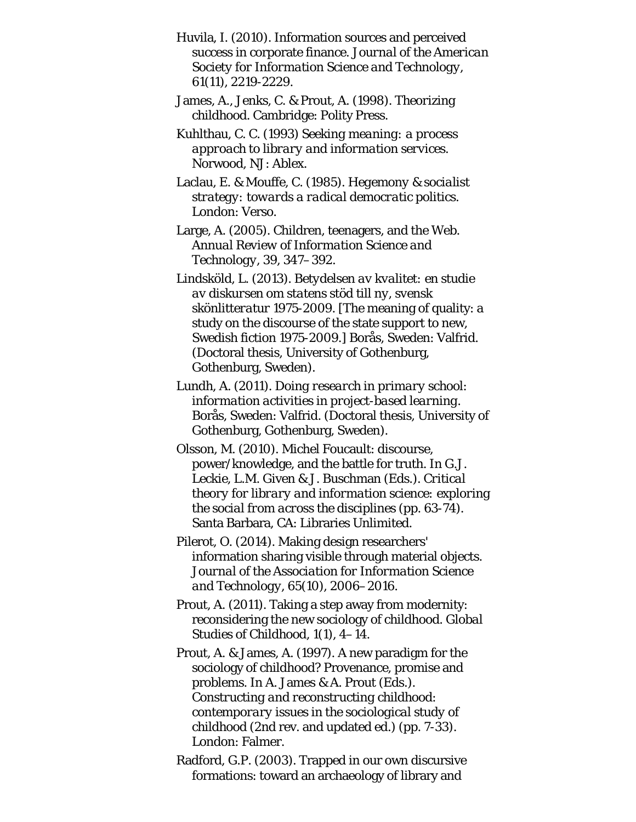- Huvila, I. (2010). Information sources and perceived success in corporate finance. *Journal of the American Society for Information Science and Technology, 61*(11), 2219-2229.
- James, A., Jenks, C. & Prout, A. (1998). *Theorizing childhood*. Cambridge: Polity Press.
- Kuhlthau, C. C. (1993) *Seeking meaning: a process approach to library and information services*. Norwood, NJ: Ablex.
- Laclau, E. & Mouffe, C. (1985). *Hegemony & socialist strategy: towards a radical democratic politics*. London: Verso.
- Large, A. (2005). Children, teenagers, and the Web. *Annual Review of Information Science and Technology, 39*, 347–392.
- Lindsköld, L. (2013). *Betydelsen av kvalitet: en studie av diskursen om statens stöd till ny, svensk skönlitteratur 1975-2009*. [The meaning of quality: a study on the discourse of the state support to new, Swedish fiction 1975-2009.] Borås, Sweden: Valfrid. (Doctoral thesis, University of Gothenburg, Gothenburg, Sweden).
- Lundh, A. (2011). *Doing research in primary school: information activities in project-based learning*. Borås, Sweden: Valfrid. (Doctoral thesis, University of Gothenburg, Gothenburg, Sweden).
- Olsson, M. (2010). Michel Foucault: discourse, power/knowledge, and the battle for truth. In G.J. Leckie, L.M. Given & J. Buschman (Eds.). *Critical theory for library and information science: exploring the social from across the disciplines* (pp. 63-74). Santa Barbara, CA: Libraries Unlimited.
- Pilerot, O. (2014). Making design researchers' information sharing visible through material objects. *Journal of the Association for Information Science and Technology, 65*(10), 2006–2016.
- Prout, A. (2011). Taking a step away from modernity: reconsidering the new sociology of childhood. *Global Studies of Childhood, 1*(1), 4–14.
- Prout, A. & James, A. (1997). A new paradigm for the sociology of childhood? Provenance, promise and problems. In A. James & A. Prout (Eds.). *Constructing and reconstructing childhood: contemporary issues in the sociological study of childhood* (2nd rev. and updated ed.) (pp. 7-33). London: Falmer.
- Radford, G.P. (2003). Trapped in our own discursive formations: toward an archaeology of library and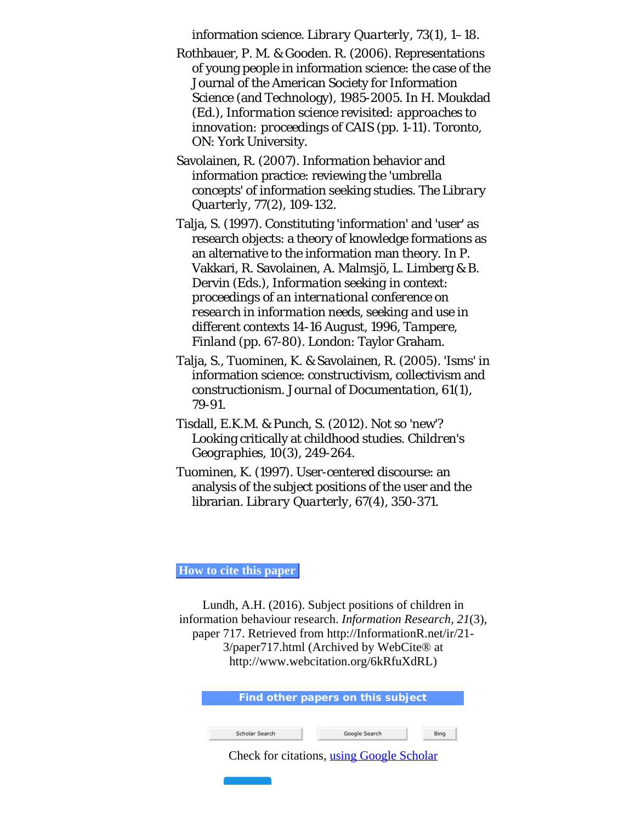<span id="page-23-0"></span>information science. *Library Quarterly, 73*(1), 1–18.

- <span id="page-23-4"></span><span id="page-23-1"></span>Rothbauer, P. M. & Gooden. R. (2006). Representations of young people in information science: the case of the Journal of the American Society for Information Science (and Technology), 1985-2005. In H. Moukdad (Ed.), *Information science revisited: approaches to innovation: proceedings of CAIS* (pp. 1-11). Toronto, ON: York University.
- <span id="page-23-6"></span>Savolainen, R. (2007). Information behavior and information practice: reviewing the 'umbrella concepts' of information seeking studies. *The Library Quarterly, 77*(2), 109-132.
- <span id="page-23-5"></span>Talja, S. (1997). Constituting 'information' and 'user' as research objects: a theory of knowledge formations as an alternative to the information man theory. In P. Vakkari, R. Savolainen, A. Malmsjö, L. Limberg & B. Dervin (Eds.), *Information seeking in context: proceedings of an international conference on research in information needs, seeking and use in different contexts 14-16 August, 1996, Tampere, Finland* (pp. 67-80). London: Taylor Graham.
- <span id="page-23-3"></span>Talja, S., Tuominen, K. & Savolainen, R. (2005). 'Isms' in information science: constructivism, collectivism and constructionism. *Journal of Documentation, 61*(1), 79-91.
- <span id="page-23-7"></span>Tisdall, E.K.M. & Punch, S. (2012). Not so 'new'? Looking critically at childhood studies. *Children's Geographies, 10*(3), 249-264.
- <span id="page-23-2"></span>Tuominen, K. (1997). User-centered discourse: an analysis of the subject positions of the user and the librarian. *Library Quarterly, 67*(4), 350-371.

**How to cite this paper**

Lundh, A.H. (2016). Subject positions of children in information behaviour research. *Information Research, 21*(3), paper 717. Retrieved from http://InformationR.net/ir/21- 3/paper717.html (Archived by WebCite® at http://www.webcitation.org/6kRfuXdRL)

| Find other papers on this subject |                                           |      |  |
|-----------------------------------|-------------------------------------------|------|--|
|                                   |                                           |      |  |
| Scholar Search                    | Google Search                             | Bing |  |
|                                   | Check for citations, using Google Scholar |      |  |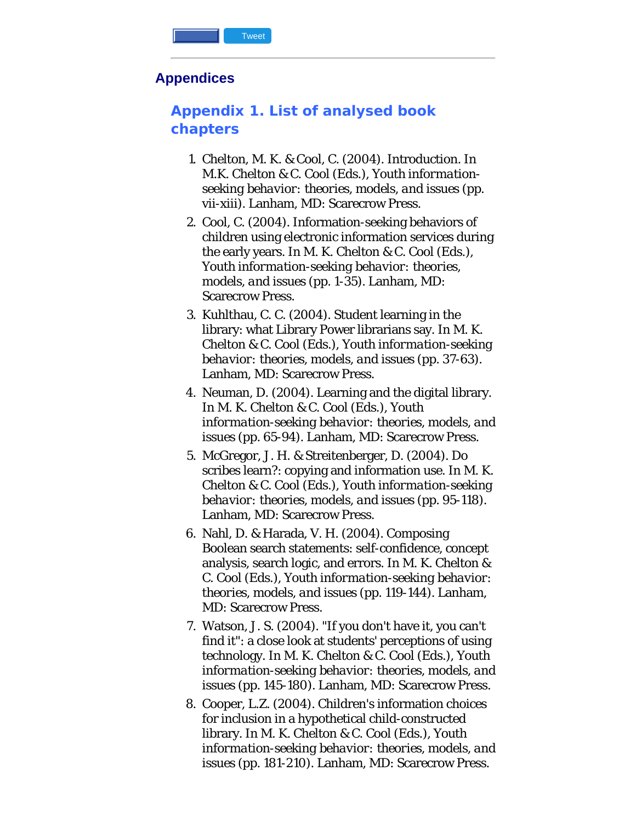#### <span id="page-24-0"></span>**Appendices**

# **Appendix 1. List of analysed book chapters**

- 1. Chelton, M. K. & Cool, C. (2004). Introduction. In M.K. Chelton & C. Cool (Eds.), *Youth informationseeking behavior: theories, models, and issues* (pp. vii-xiii). Lanham, MD: Scarecrow Press.
- 2. Cool, C. (2004). Information-seeking behaviors of children using electronic information services during the early years. In M. K. Chelton & C. Cool (Eds.), *Youth information-seeking behavior: theories, models, and issues* (pp. 1-35). Lanham, MD: Scarecrow Press.
- 3. Kuhlthau, C. C. (2004). Student learning in the library: what Library Power librarians say. In M. K. Chelton & C. Cool (Eds.), *Youth information-seeking behavior: theories, models, and issues* (pp. 37-63). Lanham, MD: Scarecrow Press.
- 4. Neuman, D. (2004). Learning and the digital library. In M. K. Chelton & C. Cool (Eds.), *Youth information-seeking behavior: theories, models, and issues* (pp. 65-94). Lanham, MD: Scarecrow Press.
- 5. McGregor, J. H. & Streitenberger, D. (2004). Do scribes learn?: copying and information use. In M. K. Chelton & C. Cool (Eds.), *Youth information-seeking behavior: theories, models, and issues* (pp. 95-118). Lanham, MD: Scarecrow Press.
- 6. Nahl, D. & Harada, V. H. (2004). Composing Boolean search statements: self-confidence, concept analysis, search logic, and errors. In M. K. Chelton & C. Cool (Eds.), *Youth information-seeking behavior: theories, models, and issues* (pp. 119-144). Lanham, MD: Scarecrow Press.
- 7. Watson, J. S. (2004). "If you don't have it, you can't find it": a close look at students' perceptions of using technology. In M. K. Chelton & C. Cool (Eds.), *Youth information-seeking behavior: theories, models, and issues* (pp. 145-180). Lanham, MD: Scarecrow Press.
- 8. Cooper, L.Z. (2004). Children's information choices for inclusion in a hypothetical child-constructed library. In M. K. Chelton & C. Cool (Eds.), *Youth information-seeking behavior: theories, models, and issues* (pp. 181-210). Lanham, MD: Scarecrow Press.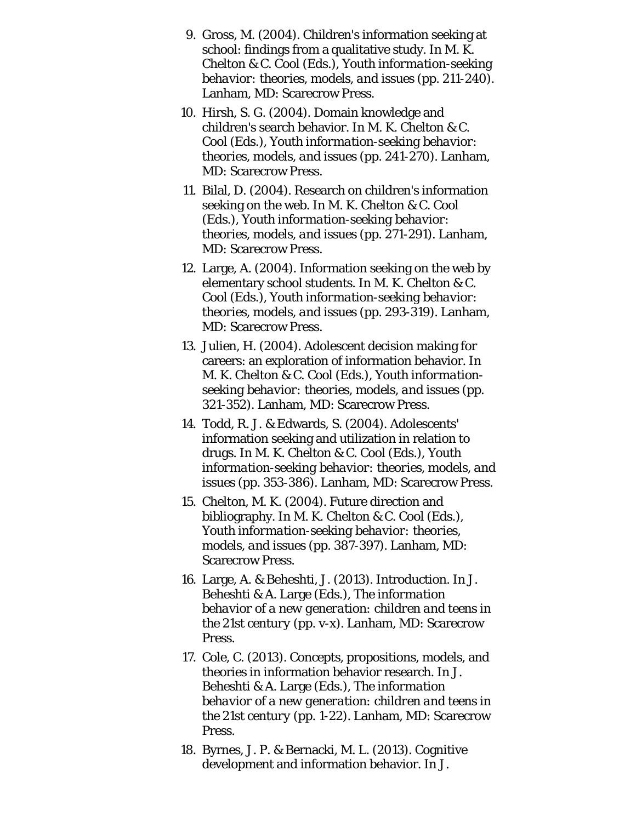- 9. Gross, M. (2004). Children's information seeking at school: findings from a qualitative study. In M. K. Chelton & C. Cool (Eds.), *Youth information-seeking behavior: theories, models, and issues* (pp. 211-240). Lanham, MD: Scarecrow Press.
- 10. Hirsh, S. G. (2004). Domain knowledge and children's search behavior. In M. K. Chelton & C. Cool (Eds.), *Youth information-seeking behavior: theories, models, and issues* (pp. 241-270). Lanham, MD: Scarecrow Press.
- 11. Bilal, D. (2004). Research on children's information seeking on the web. In M. K. Chelton & C. Cool (Eds.), *Youth information-seeking behavior: theories, models, and issues* (pp. 271-291). Lanham, MD: Scarecrow Press.
- 12. Large, A. (2004). Information seeking on the web by elementary school students. In M. K. Chelton & C. Cool (Eds.), *Youth information-seeking behavior: theories, models, and issues* (pp. 293-319). Lanham, MD: Scarecrow Press.
- 13. Julien, H. (2004). Adolescent decision making for careers: an exploration of information behavior. In M. K. Chelton & C. Cool (Eds.), *Youth informationseeking behavior: theories, models, and issues* (pp. 321-352). Lanham, MD: Scarecrow Press.
- 14. Todd, R. J. & Edwards, S. (2004). Adolescents' information seeking and utilization in relation to drugs. In M. K. Chelton & C. Cool (Eds.), *Youth information-seeking behavior: theories, models, and issues* (pp. 353-386). Lanham, MD: Scarecrow Press.
- 15. Chelton, M. K. (2004). Future direction and bibliography. In M. K. Chelton & C. Cool (Eds.), *Youth information-seeking behavior: theories, models, and issues* (pp. 387-397). Lanham, MD: Scarecrow Press.
- 16. Large, A. & Beheshti, J. (2013). Introduction. In J. Beheshti & A. Large (Eds.), *The information behavior of a new generation: children and teens in the 21st century* (pp. v-x). Lanham, MD: Scarecrow Press.
- 17. Cole, C. (2013). Concepts, propositions, models, and theories in information behavior research. In J. Beheshti & A. Large (Eds.), *The information behavior of a new generation: children and teens in the 21st century* (pp. 1-22). Lanham, MD: Scarecrow Press.
- 18. Byrnes, J. P. & Bernacki, M. L. (2013). Cognitive development and information behavior. In J.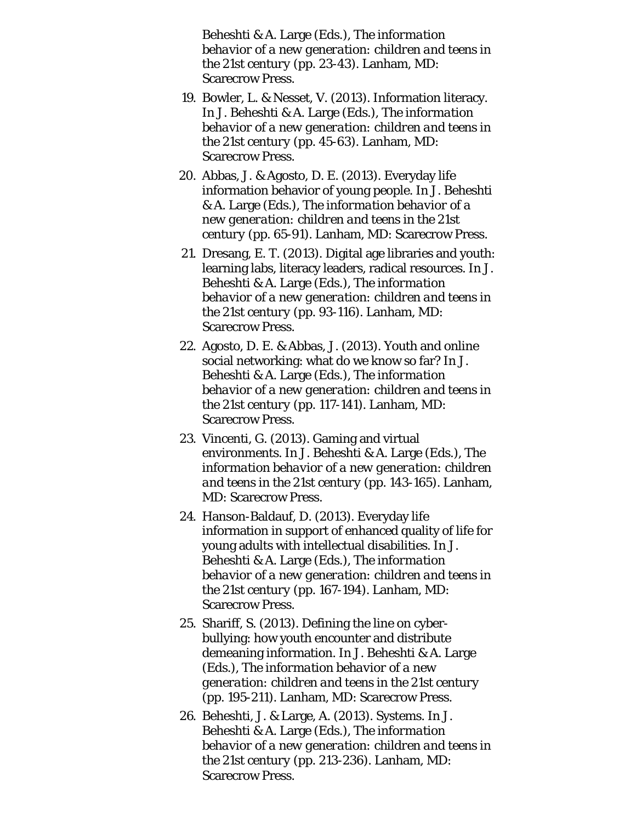Beheshti & A. Large (Eds.), *The information behavior of a new generation: children and teens in the 21st century* (pp. 23-43). Lanham, MD: Scarecrow Press.

- 19. Bowler, L. & Nesset, V. (2013). Information literacy. In J. Beheshti & A. Large (Eds.), *The information behavior of a new generation: children and teens in the 21st century* (pp. 45-63). Lanham, MD: Scarecrow Press.
- 20. Abbas, J. & Agosto, D. E. (2013). Everyday life information behavior of young people. In J. Beheshti & A. Large (Eds.), *The information behavior of a new generation: children and teens in the 21st century* (pp. 65-91). Lanham, MD: Scarecrow Press.
- 21. Dresang, E. T. (2013). Digital age libraries and youth: learning labs, literacy leaders, radical resources. In J. Beheshti & A. Large (Eds.), *The information behavior of a new generation: children and teens in the 21st century* (pp. 93-116). Lanham, MD: Scarecrow Press.
- 22. Agosto, D. E. & Abbas, J. (2013). Youth and online social networking: what do we know so far? In J. Beheshti & A. Large (Eds.), *The information behavior of a new generation: children and teens in the 21st century* (pp. 117-141). Lanham, MD: Scarecrow Press.
- 23. Vincenti, G. (2013). Gaming and virtual environments. In J. Beheshti & A. Large (Eds.), *The information behavior of a new generation: children and teens in the 21st century* (pp. 143-165). Lanham, MD: Scarecrow Press.
- 24. Hanson-Baldauf, D. (2013). Everyday life information in support of enhanced quality of life for young adults with intellectual disabilities. In J. Beheshti & A. Large (Eds.), *The information behavior of a new generation: children and teens in the 21st century* (pp. 167-194). Lanham, MD: Scarecrow Press.
- 25. Shariff, S. (2013). Defining the line on cyberbullying: how youth encounter and distribute demeaning information. In J. Beheshti & A. Large (Eds.), *The information behavior of a new generation: children and teens in the 21st century* (pp. 195-211). Lanham, MD: Scarecrow Press.
- 26. Beheshti, J. & Large, A. (2013). Systems. In J. Beheshti & A. Large (Eds.), *The information behavior of a new generation: children and teens in the 21st century* (pp. 213-236). Lanham, MD: Scarecrow Press.